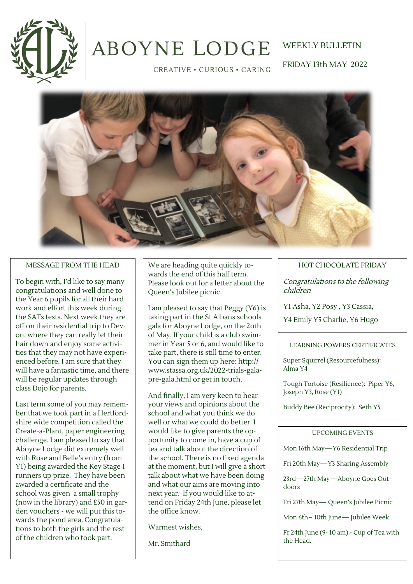

# **ABOYNE LODGE**

CREATIVE . CURIOUS . CARING

WEEKLY BULLETIN FRIDAY 13th MAY 2022

### MESSAGE FROM THE HEAD

To begin with, I'd like to say many congratulations and well done to the Year 6 pupils for all their hard work and effort this week during the SATs tests. Next week they are off on their residential trip to Devon, where they can really let their hair down and enjoy some activities that they may not have experienced before. I am sure that they will have a fantastic time, and there will be regular updates through class Dojo for parents.

Last term some of you may remember that we took part in a Hertfordshire wide competition called the Create-a-Plant, paper engineering challenge. I am pleased to say that Aboyne Lodge did extremely well with Rose and Belle's entry (from Y1) being awarded the Key Stage 1 runners up prize. They have been awarded a certificate and the school was given a small trophy (now in the library) and £50 in garden vouchers - we will put this towards the pond area. Congratulations to both the girls and the rest of the children who took part.

We are heading quite quickly towards the end of this half term. Please look out for a letter about the Queen's Jubilee picnic.

I am pleased to say that Peggy (Y6) is taking part in the St Albans schools gala for Aboyne Lodge, on the 2oth of May. If your child is a club swimmer in Year 5 or 6, and would like to take part, there is still time to enter. You can sign them up here: http:// www.stassa.org.uk/2022-trials-galapre-gala.html or get in touch.

And finally, I am very keen to hear your views and opinions about the school and what you think we do well or what we could do better. I would like to give parents the opportunity to come in, have a cup of tea and talk about the direction of the school. There is no fixed agenda at the moment, but I will give a short talk about what we have been doing and what our aims are moving into next year. If you would like to attend on Friday 24th June, please let the office know.

Warmest wishes,

Mr. Smithard

### HOT CHOCOLATE FRIDAY

Congratulations to the following children

Y1 Asha, Y2 Posy , Y3 Cassia,

Y4 Emily Y5 Charlie, Y6 Hugo

### LEARNING POWERS CERTIFICATES

Super Squirrel (Resourcefulness): Alma Y4

Tough Tortoise (Resilience): Piper Y6, Joseph Y3, Rose (Y1)

Buddy Bee (Reciprocity): Seth Y5

### UPCOMING EVENTS

Mon 16th May—Y6 Residential Trip

Fri 20th May—Y3 Sharing Assembly

23rd—27th May—Aboyne Goes Outdoors

Fri 27th May— Queen's Jubilee Picnic

Mon 6th– 10th June— Jubilee Week

Fr 24th June (9- 10 am) - Cup of Tea with the Head.